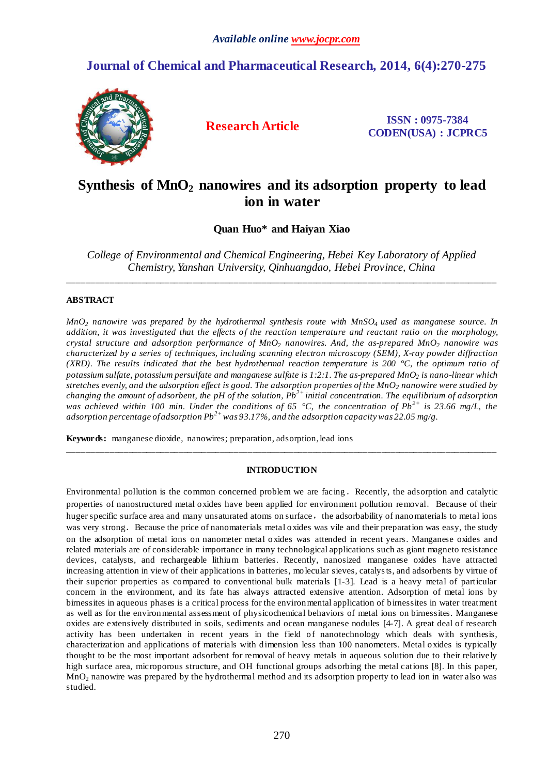# **Journal of Chemical and Pharmaceutical Research, 2014, 6(4):270-275**



**Research Article ISSN : 0975-7384 CODEN(USA) : JCPRC5**

# **Synthesis of MnO<sup>2</sup> nanowires and its adsorption property to lead ion in water**

**Quan Huo\* and Haiyan Xiao**

*College of Environmental and Chemical Engineering, Hebei Key Laboratory of Applied Chemistry, Yanshan University, Qinhuangdao, Hebei Province, China*

\_\_\_\_\_\_\_\_\_\_\_\_\_\_\_\_\_\_\_\_\_\_\_\_\_\_\_\_\_\_\_\_\_\_\_\_\_\_\_\_\_\_\_\_\_\_\_\_\_\_\_\_\_\_\_\_\_\_\_\_\_\_\_\_\_\_\_\_\_\_\_\_\_\_\_\_\_\_\_\_\_\_\_\_\_\_\_\_\_\_\_\_\_

# **ABSTRACT**

*MnO<sup>2</sup> nanowire was prepared by the hydrothermal synthesis route with MnSO4 used as [manganese](app:ds:manganese) source. In addition, it was investigated that the effects of the reaction temperature and reactant ratio on the morphology, crystal structure and adsorption performance of MnO<sup>2</sup> nanowires. And, the as-prepared MnO<sup>2</sup> nanowire was characterized by a series of techniques, including scanning electron microscopy (SEM), X-ray powder diffraction (XRD). The results indicated that the best hydrothermal reaction temperature is 200 °C, the optimum ratio of potassium sulfate, potassium persulfate and manganese sulfate is 1:2:1. The as-prepared MnO<sup>2</sup> is nano-linear which stretches evenly, and the adsorption effect is good. The adsorption properties of the MnO<sup>2</sup> nanowire were studied by changing the amount of adsorbent, the pH of the solution, Pb2+ initial concentration. The equilibrium of adsorption was achieved within 100 min. Under the conditions of 65 °C, the concentration of Pb2+ is 23.66 mg/L, the adsorption percentage ofadsorption Pb2+ was 93.17%, and the adsorption capacity was 22.05 mg/g.*

**Keywords:** manganese dioxide, nanowires; preparation, adsorption, lead ions

# **INTRODUCTION**

\_\_\_\_\_\_\_\_\_\_\_\_\_\_\_\_\_\_\_\_\_\_\_\_\_\_\_\_\_\_\_\_\_\_\_\_\_\_\_\_\_\_\_\_\_\_\_\_\_\_\_\_\_\_\_\_\_\_\_\_\_\_\_\_\_\_\_\_\_\_\_\_\_\_\_\_\_\_\_\_\_\_\_\_\_\_\_\_\_\_\_\_\_

Environmental pollution is the common concerned problem we are facing. Recently, the adsorption and catalytic properties of nanostructured metal oxides have been applied for environment pollution removal.Because of their huger specific surface area and many unsaturated atoms on surface, the adsorbability of nanomaterials to metal ions was very strong. Because the price of nanomaterials metal oxides was vile and their preparation was easy, the study on the adsorption of metal ions on nanometer metal oxides was attended in recent years. Manganese oxides and related materials are of considerable importance in many technological applications such as giant magneto resistance devices, catalysts, and rechargeable lithium batteries. Recently, nanosized manganese oxides have attracted increasing attention in view of their applications in batteries, molecular sieves, catalysts, and adsorbents by virtue of their superior properties as compared to conventional bulk materials [1-3]. Lead is a heavy metal of particular concern in the environment, and its fate has always attracted extensive attention. Adsorption of metal ions by birnessites in aqueous phases is a critical process for the environmental application of birnessites in water treatment as well as for the environmental assessment of physicochemical behaviors of metal ions on birnessites. Manganese oxides are extensively distributed in soils, sediments and ocean manganese nodules [4-7]. A great deal of research activity has been undertaken in recent years in the field of nanotechnology which deals with synthesis, characterization and applications of materials with dimension less than 100 nanometers. Metal oxides is typically thought to be the most important adsorbent for removal of heavy metals in aqueous solution due to their relatively high surface area, microporous structure, and OH functional groups adsorbing the metal cations [8]. In this paper, MnO<sub>2</sub> nanowire was prepared by the hydrothermal method and its adsorption property to lead ion in water also was studied.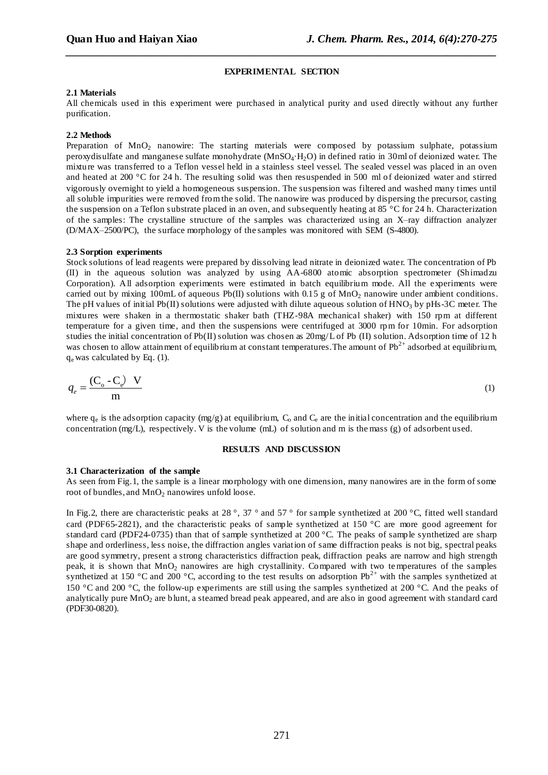## **EXPERIMENTAL SECTION**

*\_\_\_\_\_\_\_\_\_\_\_\_\_\_\_\_\_\_\_\_\_\_\_\_\_\_\_\_\_\_\_\_\_\_\_\_\_\_\_\_\_\_\_\_\_\_\_\_\_\_\_\_\_\_\_\_\_\_\_\_\_\_\_\_\_\_\_\_\_\_\_\_\_\_\_\_\_\_*

### **2.1 Materials**

All chemicals used in this experiment were purchased in analytical purity and used directly without any further purification.

## **2.2 Methods**

Preparation of MnO<sub>2</sub> nanowire: The starting materials were composed by potassium sulphate, potassium peroxydisulfate and manganese sulfate monohydrate (MnSO<sub>4</sub> H<sub>2</sub>O) in defined ratio in 30ml of deionized water. The mixture was transferred to a Teflon vessel held in a stainless steel vessel. The sealed vessel was placed in an oven and heated at 200  $\degree$ C for 24 h. The resulting solid was then resuspended in 500 ml of deionized water and stirred vigorously overnight to yield a homogeneous suspension. The suspension was filtered and washed many times until all soluble impurities were removed from the solid. The nanowire was produced by dispersing the precursor, casting the suspension on a Teflon substrate placed in an oven, and subsequently heating at 85  $\degree$ C for 24 h. Characterization of the samples: The crystalline structure of the samples was characterized using an X–ray diffraction analyzer (D/MAX–2500/PC), the surface morphology of the samples was monitored with SEM (S-4800).

## **2.3 Sorption experiments**

Stock solutions of lead reagents were prepared by dissolving lead nitrate in deionized water. The concentration of Pb (II) in the aqueous solution was analyzed by using AA-6800 atomic absorption spectrometer (Shimadzu Corporation). All adsorption experiments were estimated in batch equilibrium mode. All the experiments were carried out by mixing 100mL of aqueous Pb(II) solutions with 0.15 g of  $MnO<sub>2</sub>$  nanowire under ambient conditions. The pH values of initial Pb(II) solutions were adjusted with dilute aqueous solution of  $HNO<sub>3</sub>$  by pHs-3C meter. The mixtures were shaken in a thermostatic shaker bath (THZ-98A mechanical shaker) with 150 rpm at different temperature for a given time, and then the suspensions were centrifuged at 3000 rpm for 10min. For adsorption studies the initial concentration of Pb(II) solution was chosen as 20mg/L of Pb (II) solution. Adsorption time of 12 h was chosen to allow attainment of equilibrium at constant temperatures. The amount of  $Pb^{2+}$  adsorbed at equilibrium, qe was calculated by Eq. (1).

$$
q_e = \frac{(C_o - C_e) V}{m}
$$
 (1)

where  $q_e$  is the adsorption capacity (mg/g) at equilibrium,  $C_o$  and  $C_e$  are the initial concentration and the equilibrium concentration (mg/L), respectively. V is the volume (mL) of solution and m is the mass (g) of adsorbent used.

# **RESULTS AND DISCUSSION**

# **3.1 Characterization of the sample**

As seen from Fig.1, the sample is a linear morphology with one dimension, many nanowires are in the form of some root of bundles, and MnO<sub>2</sub> nanowires unfold loose.

In Fig.2, there are characteristic peaks at 28  $\degree$ , 37  $\degree$  and 57  $\degree$  for sample synthetized at 200 °C, fitted well standard card (PDF65-2821), and the characteristic peaks of sample synthetized at 150 °C are more good agreement for standard card (PDF24-0735) than that of sample synthetized at 200 °C. The peaks of sample synthetized are sharp shape and orderliness, less noise, the diffraction angles variation of same diffraction peaks is not big, spectral peaks are good symmetry, present a strong characteristics diffraction peak, diffraction peaks are narrow and high strength peak, it is shown that MnO<sup>2</sup> nanowires are high crystallinity. Compared with two temperatures of the samples synthetized at 150 °C and 200 °C, according to the test results on adsorption  $Pb^{2+}$  with the samples synthetized at 150 °C and 200 °C, the follow-up experiments are still using the samples synthetized at 200 °C. And the peaks of analytically pure MnO<sub>2</sub> are blunt, a steamed bread peak appeared, and are also in good agreement with standard card (PDF30-0820).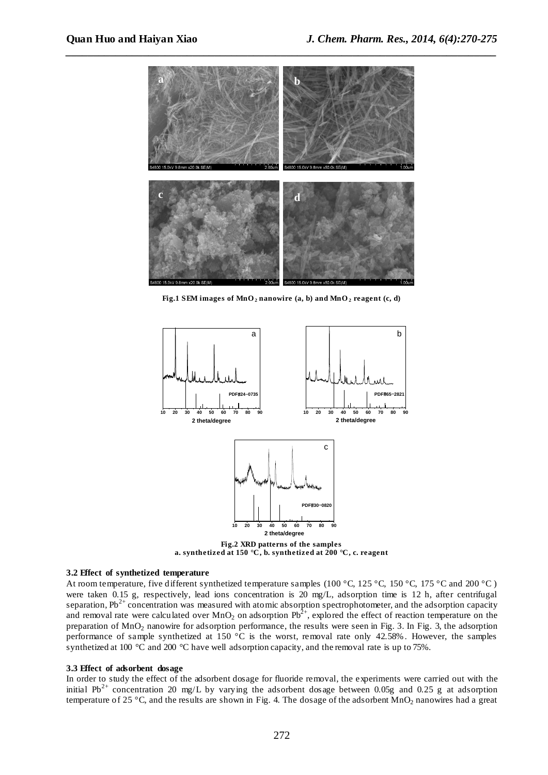

**Fig.1 SEM images of MnO<sup>2</sup> nanowire (a, b) and MnO<sup>2</sup> reagent (c, d)**



#### **3.2 Effect of synthetized temperature**

At room temperature, five different synthetized temperature samples (100 °C, 125 °C, 150 °C, 175 °C and 200 °C) were taken 0.15 g, respectively, lead ions concentration is 20 mg/L, adsorption time is 12 h, after centrifugal separation,  $Pb^{2+}$  concentration was measured with atomic absorption spectrophotometer, and the adsorption capacity and removal rate were calculated over  $MnO_2$  on adsorption Pb<sup>2+</sup>, explored the effect of reaction temperature on the preparation of MnO<sup>2</sup> nanowire for adsorption performance, the results were seen in Fig. 3. In Fig. 3, the adsorption performance of sample synthetized at 150  $\degree$ C is the worst, removal rate only 42.58%. However, the samples synthetized at 100  $\degree$ C and 200  $\degree$ C have well adsorption capacity, and the removal rate is up to 75%.

## **3.3 Effect of adsorbent dosage**

In order to study the effect of the adsorbent dosage for fluoride removal, the experiments were carried out with the initial Pb<sup>2+</sup> concentration 20 mg/L by varying the adsorbent dosage between 0.05g and 0.25 g at adsorption temperature of 25 °C, and the results are shown in Fig. 4. The dosage of the adsorbent MnO<sub>2</sub> nanowires had a great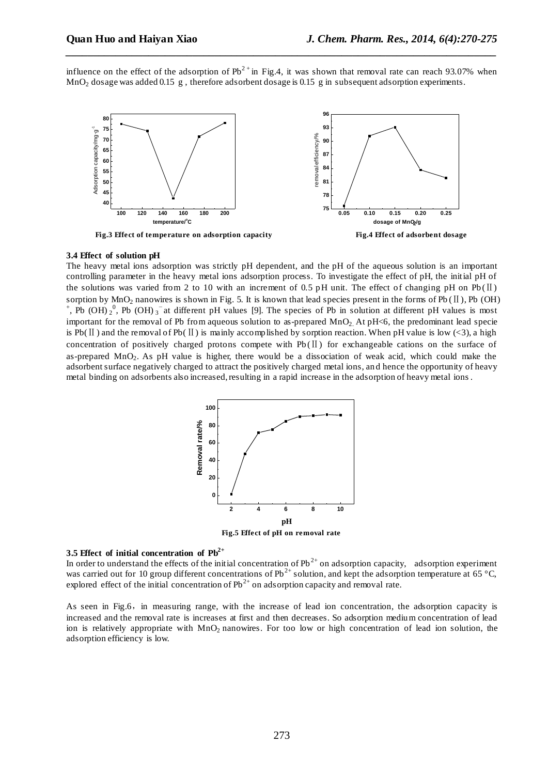influence on the effect of the adsorption of  $Pb^{2+}$ in Fig.4, it was shown that removal rate can reach 93.07% when MnO<sub>2</sub> dosage was added 0.15 g, therefore adsorbent dosage is 0.15 g in subsequent adsorption experiments.

*\_\_\_\_\_\_\_\_\_\_\_\_\_\_\_\_\_\_\_\_\_\_\_\_\_\_\_\_\_\_\_\_\_\_\_\_\_\_\_\_\_\_\_\_\_\_\_\_\_\_\_\_\_\_\_\_\_\_\_\_\_\_\_\_\_\_\_\_\_\_\_\_\_\_\_\_\_\_*



**Fig.3 Effect of temperature on adsorption capacity Fig.4 Effect of adsorbent dosage**

#### **3.4 Effect of solution pH**

The heavy metal ions adsorption was strictly pH dependent, and the pH of the aqueous solution is an important controlling parameter in the heavy metal ions adsorption process. To investigate the effect of pH, the initial pH of the solutions was varied from 2 to 10 with an increment of 0.5 pH unit. The effect of changing pH on  $Pb(II)$ sorption by MnO<sub>2</sub> nanowires is shown in Fig. 5. It is known that lead species present in the forms of Pb  $(II)$ , Pb  $(OH)$ <sup>+</sup>, Pb (OH)  $_2$ <sup>0</sup>, Pb (OH)  $_3$ <sup>-</sup> at different pH values [9]. The species of Pb in solution at different pH values is most important for the removal of Pb from aqueous solution to as-prepared  $MnO<sub>2</sub>$ . At pH<6, the predominant lead specie is Pb( $II$ ) and the removal of Pb( $II$ ) is mainly accomplished by sorption reaction. When pH value is low (<3), a high concentration of positively charged protons compete with  $Pb(II)$  for exchangeable cations on the surface of as-prepared MnO2. As pH value is higher, there would be a dissociation of weak acid, which could make the adsorbent surface negatively charged to attract the positively charged metal ions, an d hence the opportunity of heavy metal binding on adsorbents also increased, resulting in a rapid increase in the adsorption of heavy metal ions.



# **3.5 Effect of initial concentration of Pb2+**

In order to understand the effects of the initial concentration of  $Pb^{2+}$  on adsorption capacity, adsorption experiment was carried out for 10 group different concentrations of Pb<sup>2+</sup> solution, and kept the adsorption temperature at 65 °C, explored effect of the initial concentration of  $Pb^{2+}$  on adsorption capacity and removal rate.

As seen in Fig.6, in measuring range, with the increase of lead ion concentration, the adsorption capacity is increased and the removal rate is increases at first and then decreases. So adsorption medium concentration of lead ion is relatively appropriate with MnO<sub>2</sub> nanowires. For too low or high concentration of lead ion solution, the adsorption efficiency is low.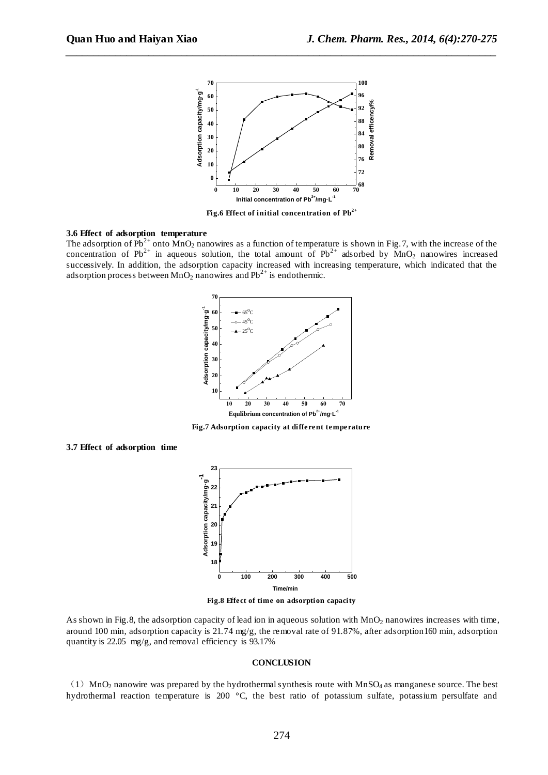

*\_\_\_\_\_\_\_\_\_\_\_\_\_\_\_\_\_\_\_\_\_\_\_\_\_\_\_\_\_\_\_\_\_\_\_\_\_\_\_\_\_\_\_\_\_\_\_\_\_\_\_\_\_\_\_\_\_\_\_\_\_\_\_\_\_\_\_\_\_\_\_\_\_\_\_\_\_\_*

**Fig.6 Effect of initial concentration of Pb2+**

## **3.6 Effect of adsorption temperature**

The adsorption of  $Pb^{2+}$  onto  $MnO_2$  nanowires as a function of temperature is shown in Fig. 7, with the increase of the concentration of Pb<sup>2+</sup> in aqueous solution, the total amount of Pb<sup>2+</sup> adsorbed by MnO<sub>2</sub> nanowires increased successively. In addition, the adsorption capacity increased with increasing temperature, which indicated that the adsorption process between  $MnO<sub>2</sub>$  nanowires and Pb<sup>2+</sup> is endothermic.



**Fig.7 Adsorption capacity at different temperature**





**Fig.8 Effect of time on adsorption capacity**

As shown in Fig.8, the adsorption capacity of lead ion in aqueous solution with  $MnO<sub>2</sub>$  nanowires increases with time, around 100 min, adsorption capacity is  $21.74$  mg/g, the removal rate of 91.87%, after adsorption160 min, adsorption quantity is 22.05 mg/g, and removal efficiency is 93.17%

#### **CONCLUSION**

(1)  $MnO<sub>2</sub>$  nanowire was prepared by the hydrothermal synthesis route with  $MnSO<sub>4</sub>$  as [manganese](app:ds:manganese) source. The best hydrothermal reaction temperature is 200 °C, the best ratio of potassium sulfate, potassium persulfate and